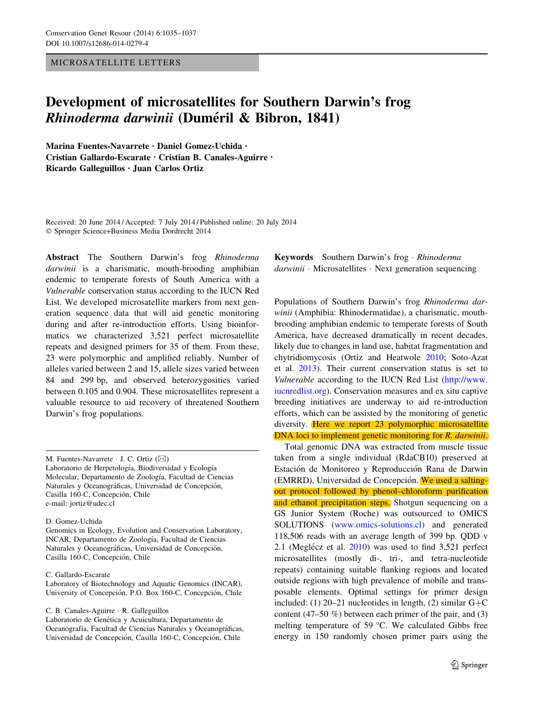MICROSATELLITE LETTERS

## Development of microsatellites for Southern Darwin's frog Rhinoderma darwinii (Duméril & Bibron, 1841)

Marina Fuentes-Navarrete • Daniel Gomez-Uchida • Cristian Gallardo-Escarate • Cristian B. Canales-Aguirre • Ricardo Galleguillos • Juan Carlos Ortiz

Received: 20 June 2014 / Accepted: 7 July 2014 / Published online: 20 July 2014 - Springer Science+Business Media Dordrecht 2014

Abstract The Southern Darwin's frog Rhinoderma darwinii is a charismatic, mouth-brooding amphibian endemic to temperate forests of South America with a Vulnerable conservation status according to the IUCN Red List. We developed microsatellite markers from next generation sequence data that will aid genetic monitoring during and after re-introduction efforts. Using bioinformatics we characterized 3,521 perfect microsatellite repeats and designed primers for 35 of them. From these, 23 were polymorphic and amplified reliably. Number of alleles varied between 2 and 15, allele sizes varied between 84 and 299 bp, and observed heterozygosities varied between 0.105 and 0.904. These microsatellites represent a valuable resource to aid recovery of threatened Southern Darwin's frog populations.

M. Fuentes-Navarrete  $\cdot$  J. C. Ortiz ( $\boxtimes$ ) Laboratorio de Herpetología, Biodiversidad y Ecología Molecular, Departamento de Zoología, Facultad de Ciencias Naturales y Oceanográficas, Universidad de Concepción, Casilla 160-C, Concepción, Chile e-mail: jortiz@udec.cl

D. Gomez-Uchida

Genomics in Ecology, Evolution and Conservation Laboratory, INCAR, Departamento de Zoología, Facultad de Ciencias Naturales y Oceanográficas, Universidad de Concepción, Casilla 160-C, Concepción, Chile

C. Gallardo-Escarate

Laboratory of Biotechnology and Aquatic Genomics (INCAR), University of Concepción, P.O. Box 160-C, Concepción, Chile

C. B. Canales-Aguirre - R. Galleguillos

Laboratorio de Genética y Acuicultura, Departamento de Oceanografía, Facultad de Ciencias Naturales y Oceanográficas, Universidad de Concepción, Casilla 160-C, Concepción, Chile

Keywords Southern Darwin's frog · Rhinoderma darwinii · Microsatellites · Next generation sequencing

Populations of Southern Darwin's frog Rhinoderma darwinii (Amphibia: Rhinodermatidae), a charismatic, mouthbrooding amphibian endemic to temperate forests of South America, have decreased dramatically in recent decades, likely due to changes in land use, habitat fragmentation and chytridiomycosis (Ortiz and Heatwole [2010](#page-2-0); Soto-Azat et al. [2013](#page-2-0)). Their current conservation status is set to Vulnerable according to the IUCN Red List [\(http://www.](http://www.iucnredlist.org) [iucnredlist.org](http://www.iucnredlist.org)). Conservation measures and ex situ captive breeding initiatives are underway to aid re-introduction efforts, which can be assisted by the monitoring of genetic diversity. Here we report 23 polymorphic microsatellite DNA loci to implement genetic monitoring for R. darwinii.

Total genomic DNA was extracted from muscle tissue taken from a single individual (RdaCB10) preserved at Estación de Monitoreo y Reproducción Rana de Darwin (EMRRD), Universidad de Concepción. We used a saltingout protocol followed by phenol–chloroform purification and ethanol precipitation steps. Shotgun sequencing on a GS Junior System (Roche) was outsourced to OMICS SOLUTIONS [\(www.omics-solutions.cl](http://www.omics-solutions.cl)) and generated 118,506 reads with an average length of 399 bp. QDD v 2.1 (Meglécz et al.  $2010$ ) was used to find 3,521 perfect microsatellites (mostly di-, tri-, and tetra-nucleotide repeats) containing suitable flanking regions and located outside regions with high prevalence of mobile and transposable elements. Optimal settings for primer design included: (1) 20–21 nucleotides in length, (2) similar  $G+C$ content (47–50 %) between each primer of the pair, and (3) melting temperature of 59  $^{\circ}$ C. We calculated Gibbs free energy in 150 randomly chosen primer pairs using the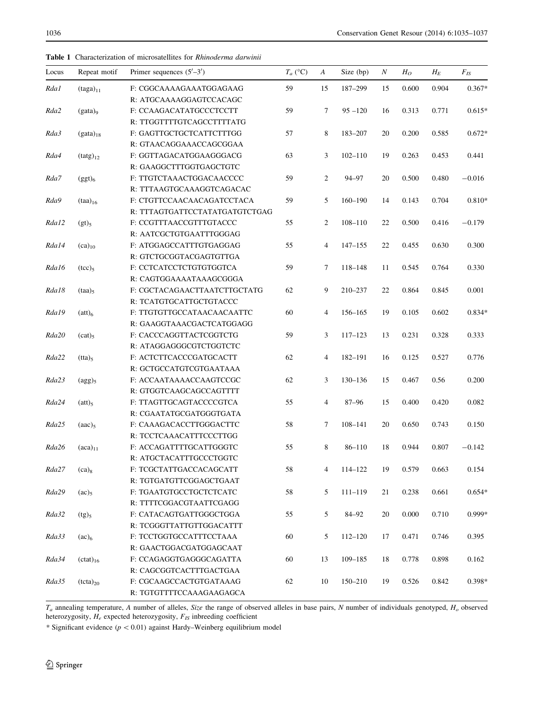| Locus | Repeat motif                            | Primer sequences $(5'–3')$     | $T_a$ (°C) | A              | Size (bp)   | Ν  | $H_O$ | $H_E$ | $F_{IS}$ |
|-------|-----------------------------------------|--------------------------------|------------|----------------|-------------|----|-------|-------|----------|
| Rda1  | $(taga)_{11}$                           | F: CGGCAAAAGAAATGGAGAAG        | 59         | 15             | 187-299     | 15 | 0.600 | 0.904 | $0.367*$ |
|       |                                         | R: ATGCAAAAGGAGTCCACAGC        |            |                |             |    |       |       |          |
| Rda2  | $(gata)$ <sub>9</sub>                   | F: CCAAGACATATGCCCTCCTT        | 59         | 7              | $95 - 120$  | 16 | 0.313 | 0.771 | $0.615*$ |
|       |                                         | R: TTGGTTTTGTCAGCCTTTTATG      |            |                |             |    |       |       |          |
| Rda3  | $(gata)_{18}$                           | F: GAGTTGCTGCTCATTCTTTGG       | 57         | 8              | 183-207     | 20 | 0.200 | 0.585 | $0.672*$ |
|       |                                         | R: GTAACAGGAAACCAGCGGAA        |            |                |             |    |       |       |          |
| Rda4  | $(tatg)_{12}$                           | F: GGTTAGACATGGAAGGGACG        | 63         | 3              | $102 - 110$ | 19 | 0.263 | 0.453 | 0.441    |
|       |                                         | R: GAAGGCTTTGGTGAGCTGTC        |            |                |             |    |       |       |          |
| Rda7  | $(ggt)_6$                               | F: TTGTCTAAACTGGACAACCCC       | 59         | 2              | 94-97       | 20 | 0.500 | 0.480 | $-0.016$ |
|       |                                         | R: TTTAAGTGCAAAGGTCAGACAC      |            |                |             |    |       |       |          |
| Rda9  | $(taa)_{16}$                            | F: CTGTTCCAACAACAGATCCTACA     | 59         | 5              | $160 - 190$ | 14 | 0.143 | 0.704 | $0.810*$ |
|       |                                         | R: TTTAGTGATTCCTATATGATGTCTGAG |            |                |             |    |       |       |          |
| Rda12 | (gt) <sub>5</sub>                       | F: CCGTTTAACCGTTTGTACCC        | 55         | $\overline{c}$ | $108 - 110$ | 22 | 0.500 | 0.416 | $-0.179$ |
|       |                                         | R: AATCGCTGTGAATTTGGGAG        |            |                |             |    |       |       |          |
| Rda14 | $(ca)_{10}$                             | F: ATGGAGCCATTTGTGAGGAG        | 55         | $\overline{4}$ | $147 - 155$ | 22 | 0.455 | 0.630 | 0.300    |
|       |                                         | R: GTCTGCGGTACGAGTGTTGA        |            |                |             |    |       |       |          |
| Rda16 | (tcc) <sub>5</sub>                      | F: CCTCATCCTCTGTGTGGTCA        | 59         | 7              | 118-148     | 11 | 0.545 | 0.764 | 0.330    |
|       |                                         | R: CAGTGGAAAATAAAGCGGGA        |            |                |             |    |       |       |          |
| Rda18 | $(taa)_{5}$                             | F: CGCTACAGAACTTAATCTTGCTATG   | 62         | 9              | 210-237     | 22 | 0.864 | 0.845 | 0.001    |
|       |                                         | R: TCATGTGCATTGCTGTACCC        |            |                |             |    |       |       |          |
| Rda19 | (att) <sub>6</sub>                      | F: TTGTGTTGCCATAACAACAATTC     | 60         | $\overline{4}$ | 156-165     | 19 | 0.105 | 0.602 | $0.834*$ |
|       |                                         | R: GAAGGTAAACGACTCATGGAGG      |            |                |             |    |       |       |          |
| Rda20 | (cat) <sub>5</sub>                      | F: CACCCAGGTTACTCGGTCTG        | 59         | 3              | $117 - 123$ | 13 | 0.231 | 0.328 | 0.333    |
|       |                                         | R: ATAGGAGGGCGTCTGGTCTC        |            |                |             |    |       |       |          |
| Rda22 | $(tta)_5$                               | F: ACTCTTCACCCGATGCACTT        | 62         | 4              | 182-191     | 16 | 0.125 | 0.527 | 0.776    |
|       |                                         | R: GCTGCCATGTCGTGAATAAA        |            |                |             |    |       |       |          |
| Rda23 | $\frac{\text{(agg)}_5}{\text{(agg)}_5}$ | F: ACCAATAAAACCAAGTCCGC        | 62         | 3              | 130-136     | 15 | 0.467 | 0.56  | 0.200    |
|       |                                         | R: GTGGTCAAGCAGCCAGTTTT        |            |                |             |    |       |       |          |
| Rda24 | (att) <sub>5</sub>                      | F: TTAGTTGCAGTACCCCGTCA        | 55         | $\overline{4}$ | $87 - 96$   | 15 | 0.400 | 0.420 | 0.082    |
|       |                                         | R: CGAATATGCGATGGGTGATA        |            |                |             |    |       |       |          |
| Rda25 | (aac) <sub>5</sub>                      | F: CAAAGACACCTTGGGACTTC        | 58         | 7              | $108 - 141$ | 20 | 0.650 | 0.743 | 0.150    |
|       |                                         | R: TCCTCAAACATTTCCCTTGG        |            |                |             |    |       |       |          |
| Rda26 | $(aca)_{11}$                            | F: ACCAGATTTTGCATTGGGTC        | 55         | 8              | $86 - 110$  | 18 | 0.944 | 0.807 | $-0.142$ |
|       |                                         | R: ATGCTACATTTGCCCTGGTC        |            |                |             |    |       |       |          |
| Rda27 | $(ca)_8$                                | F: TCGCTATTGACCACAGCATT        | 58         | 4              | 114-122     | 19 | 0.579 | 0.663 | 0.154    |
|       |                                         | R: TGTGATGTTCGGAGCTGAAT        |            |                |             |    |       |       |          |
| Rda29 | $(ac)_5$                                | F: TGAATGTGCCTGCTCTCATC        | 58         | 5              | $111 - 119$ | 21 | 0.238 | 0.661 | $0.654*$ |
|       |                                         | R: TTTTCGGACGTAATTCGAGG        |            |                |             |    |       |       |          |
| Rda32 | $(tg)_5$                                | F: CATACAGTGATTGGGCTGGA        | 55         | 5              | 84-92       | 20 | 0.000 | 0.710 | 0.999*   |
|       |                                         | R: TCGGGTTATTGTTGGACATTT       |            |                |             |    |       |       |          |
| Rda33 | (ac) <sub>6</sub>                       | F: TCCTGGTGCCATTTCCTAAA        | 60         | 5              | $112 - 120$ | 17 | 0.471 | 0.746 | 0.395    |
|       |                                         | R: GAACTGGACGATGGAGCAAT        |            |                |             |    |       |       |          |
| Rda34 | $(ctat)_{16}$                           | F: CCAGAGGTGAGGGCAGATTA        | 60         | 13             | $109 - 185$ | 18 | 0.778 | 0.898 | 0.162    |
|       |                                         | R: CAGCGGTCACTTTGACTGAA        |            |                |             |    |       |       |          |
| Rda35 | $(tcta)_{20}$                           | F: CGCAAGCCACTGTGATAAAG        | 62         | 10             | $150 - 210$ | 19 | 0.526 | 0.842 | $0.398*$ |
|       |                                         | R: TGTGTTTTCCAAAGAAGAGCA       |            |                |             |    |       |       |          |
|       |                                         |                                |            |                |             |    |       |       |          |

<span id="page-1-0"></span>Table 1 Characterization of microsatellites for Rhinoderma darwinii

 $T_a$  annealing temperature, A number of alleles, Size the range of observed alleles in base pairs, N number of individuals genotyped,  $H_o$  observed heterozygosity,  $H_e$  expected heterozygosity,  $F_{IS}$  inbreeding coefficient

\* Significant evidence ( $p < 0.01$ ) against Hardy–Weinberg equilibrium model